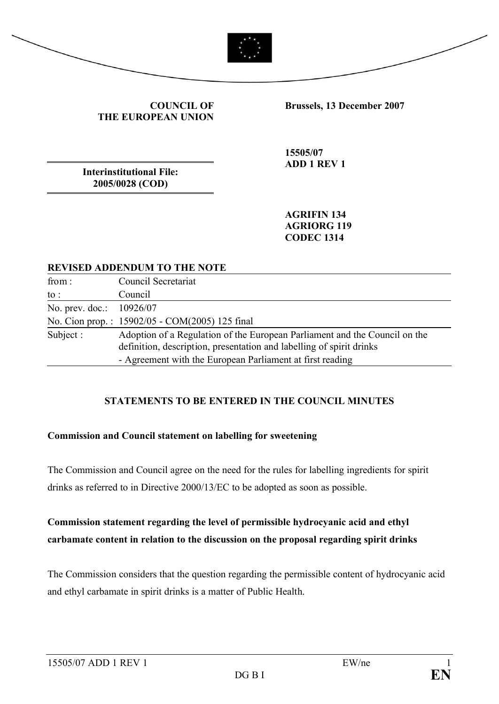



#### **COUNCIL OF THE EUROPEAN UNION**

**Brussels, 13 December 2007**

**Interinstitutional File: 2005/0028 (COD)**

**15505/07 ADD 1 REV 1**

**AGRIFIN 134 AGRIORG 119 CODEC 1314**

#### **REVISED ADDENDUM TO THE NOTE**

| from:                    | Council Secretariat                                                                                                                                                                                             |
|--------------------------|-----------------------------------------------------------------------------------------------------------------------------------------------------------------------------------------------------------------|
| $\mathrm{to}$ :          | Council                                                                                                                                                                                                         |
| No. prev. doc.: 10926/07 |                                                                                                                                                                                                                 |
|                          | No. Cion prop.: 15902/05 - COM(2005) 125 final                                                                                                                                                                  |
| Subject :                | Adoption of a Regulation of the European Parliament and the Council on the<br>definition, description, presentation and labelling of spirit drinks<br>- Agreement with the European Parliament at first reading |

## **STATEMENTS TO BE ENTERED IN THE COUNCIL MINUTES**

#### **Commission and Council statement on labelling for sweetening**

The Commission and Council agree on the need for the rules for labelling ingredients for spirit drinks as referred to in Directive 2000/13/EC to be adopted as soon as possible.

# **Commission statement regarding the level of permissible hydrocyanic acid and ethyl carbamate content in relation to the discussion on the proposal regarding spirit drinks**

The Commission considers that the question regarding the permissible content of hydrocyanic acid and ethyl carbamate in spirit drinks is a matter of Public Health.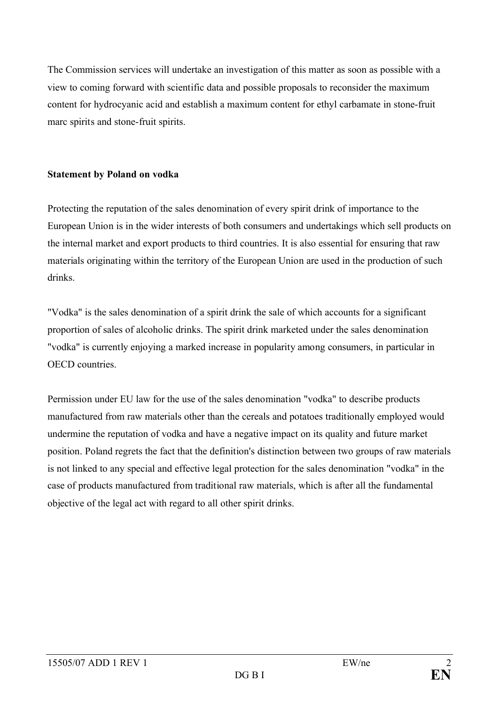The Commission services will undertake an investigation of this matter as soon as possible with a view to coming forward with scientific data and possible proposals to reconsider the maximum content for hydrocyanic acid and establish a maximum content for ethyl carbamate in stone-fruit marc spirits and stone-fruit spirits.

### **Statement by Poland on vodka**

Protecting the reputation of the sales denomination of every spirit drink of importance to the European Union is in the wider interests of both consumers and undertakings which sell products on the internal market and export products to third countries. It is also essential for ensuring that raw materials originating within the territory of the European Union are used in the production of such drinks.

"Vodka" is the sales denomination of a spirit drink the sale of which accounts for a significant proportion of sales of alcoholic drinks. The spirit drink marketed under the sales denomination "vodka" is currently enjoying a marked increase in popularity among consumers, in particular in OECD countries.

Permission under EU law for the use of the sales denomination "vodka" to describe products manufactured from raw materials other than the cereals and potatoes traditionally employed would undermine the reputation of vodka and have a negative impact on its quality and future market position. Poland regrets the fact that the definition's distinction between two groups of raw materials is not linked to any special and effective legal protection for the sales denomination "vodka" in the case of products manufactured from traditional raw materials, which is after all the fundamental objective of the legal act with regard to all other spirit drinks.